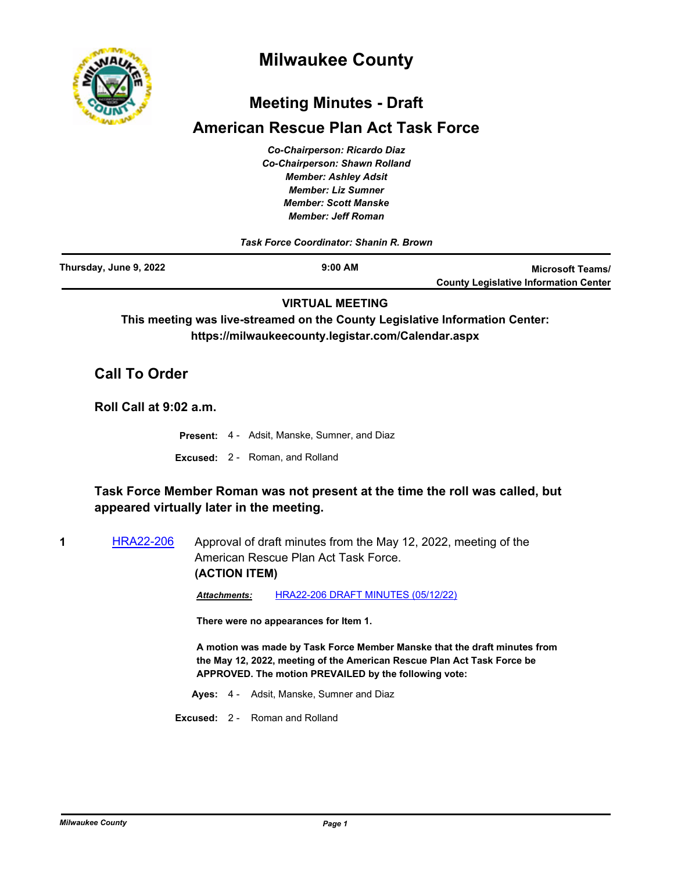

# **Milwaukee County**

## **Meeting Minutes - Draft**

## **American Rescue Plan Act Task Force**

*Co-Chairperson: Ricardo Diaz Co-Chairperson: Shawn Rolland Member: Ashley Adsit Member: Liz Sumner Member: Scott Manske Member: Jeff Roman*

*Task Force Coordinator: Shanin R. Brown*

| Thursday, June 9, 2022 | $9:00$ AM | <b>Microsoft Teams/</b>                      |
|------------------------|-----------|----------------------------------------------|
|                        |           | <b>County Legislative Information Center</b> |

**VIRTUAL MEETING**

**This meeting was live-streamed on the County Legislative Information Center: https://milwaukeecounty.legistar.com/Calendar.aspx**

## **Call To Order**

**Roll Call at 9:02 a.m.**

**Present:** 4 - Adsit, Manske, Sumner, and Diaz **Excused:** 2 - Roman, and Rolland

## **Task Force Member Roman was not present at the time the roll was called, but appeared virtually later in the meeting.**

**1** [HRA22-206](http://milwaukeecounty.legistar.com/gateway.aspx?m=l&id=/matter.aspx?key=12445) Approval of draft minutes from the May 12, 2022, meeting of the American Rescue Plan Act Task Force. **(ACTION ITEM)**

*Attachments:* [HRA22-206 DRAFT MINUTES \(05/12/22\)](http://MilwaukeeCounty.legistar.com/gateway.aspx?M=F&ID=3a37ef05-e894-4caa-9c72-308762a7c336.pdf)

**There were no appearances for Item 1.**

**A motion was made by Task Force Member Manske that the draft minutes from the May 12, 2022, meeting of the American Rescue Plan Act Task Force be APPROVED. The motion PREVAILED by the following vote:**

**Ayes:** 4 - Adsit, Manske, Sumner and Diaz

**Excused:** 2 - Roman and Rolland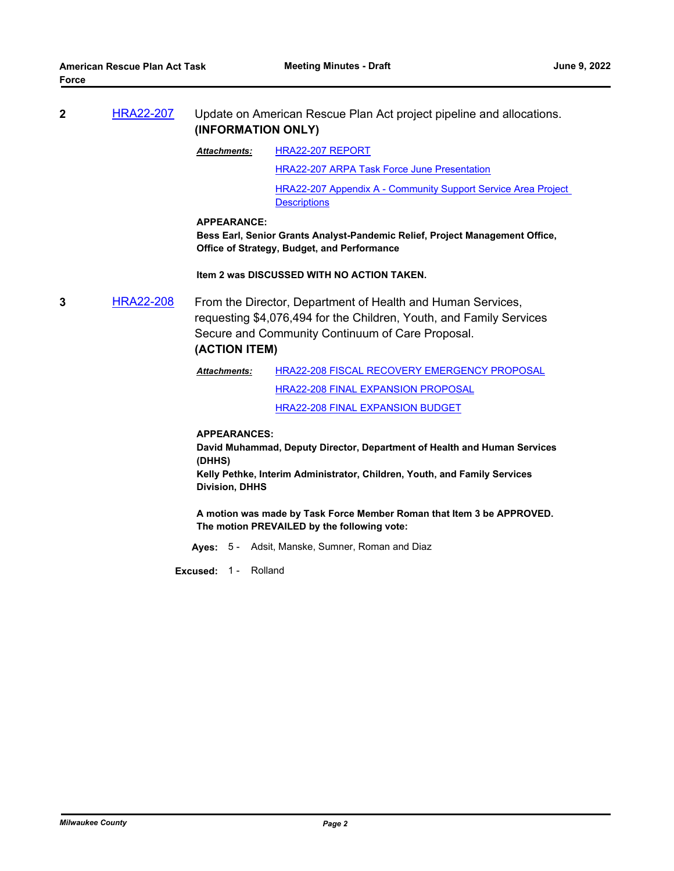| <b>HRA22-207</b> | Update on American Rescue Plan Act project pipeline and allocations. |
|------------------|----------------------------------------------------------------------|
|                  | (INFORMATION ONLY)                                                   |

[HRA22-207 REPORT](http://MilwaukeeCounty.legistar.com/gateway.aspx?M=F&ID=ba8bfece-bbee-49ed-8a6d-c4638773b796.pdf) *Attachments:*

[HRA22-207 ARPA Task Force June Presentation](http://MilwaukeeCounty.legistar.com/gateway.aspx?M=F&ID=d06258a4-aa1f-4ba3-8eea-1eef7d32cf93.pdf)

[HRA22-207 Appendix A - Community Support Service Area Project](http://MilwaukeeCounty.legistar.com/gateway.aspx?M=F&ID=ecff67b5-cd04-476f-8d2c-3e3bee9dad8f.pdf)  **Descriptions** 

#### **APPEARANCE:**

**Bess Earl, Senior Grants Analyst-Pandemic Relief, Project Management Office, Office of Strategy, Budget, and Performance**

**Item 2 was DISCUSSED WITH NO ACTION TAKEN.**

**3** [HRA22-208](http://milwaukeecounty.legistar.com/gateway.aspx?m=l&id=/matter.aspx?key=12447) From the Director, Department of Health and Human Services, requesting \$4,076,494 for the Children, Youth, and Family Services Secure and Community Continuum of Care Proposal. **(ACTION ITEM)**

> [HRA22-208 FISCAL RECOVERY EMERGENCY PROPOSAL](http://MilwaukeeCounty.legistar.com/gateway.aspx?M=F&ID=29e63111-e3c5-41cd-a483-f8247504264f.pdf) [HRA22-208 FINAL EXPANSION PROPOSAL](http://MilwaukeeCounty.legistar.com/gateway.aspx?M=F&ID=52149ecb-1b4c-42df-b8df-3103d9e9da5d.pdf) [HRA22-208 FINAL EXPANSION BUDGET](http://MilwaukeeCounty.legistar.com/gateway.aspx?M=F&ID=06f4349c-5393-4590-9518-014bed9efc86.pdf) *Attachments:*

**APPEARANCES:**

**David Muhammad, Deputy Director, Department of Health and Human Services (DHHS)**

**Kelly Pethke, Interim Administrator, Children, Youth, and Family Services Division, DHHS**

**A motion was made by Task Force Member Roman that Item 3 be APPROVED. The motion PREVAILED by the following vote:**

**Ayes:** 5 - Adsit, Manske, Sumner, Roman and Diaz

**Excused:** 1 - Rolland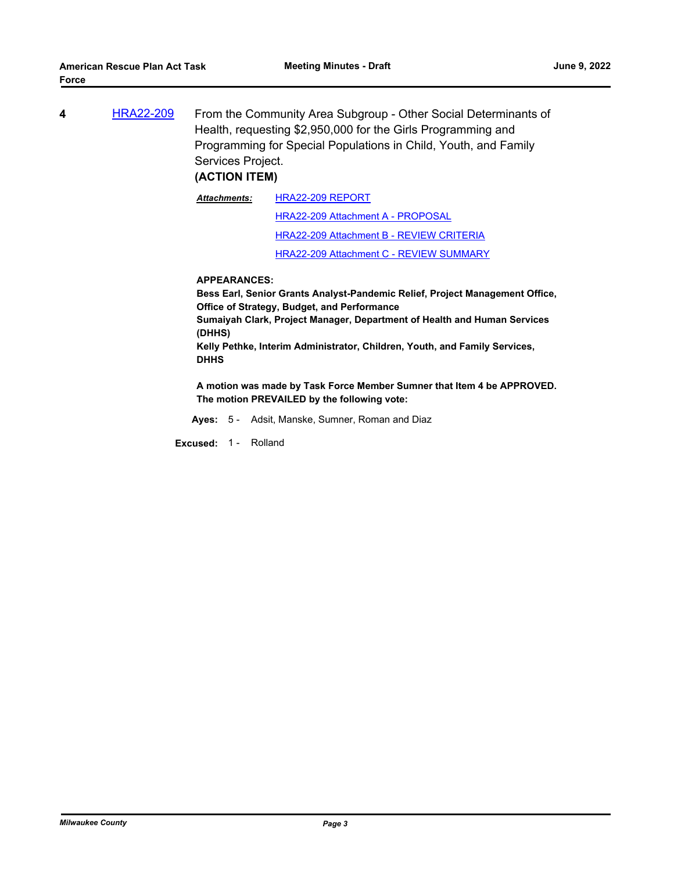**4** [HRA22-209](http://milwaukeecounty.legistar.com/gateway.aspx?m=l&id=/matter.aspx?key=12448) From the Community Area Subgroup - Other Social Determinants of Health, requesting \$2,950,000 for the Girls Programming and Programming for Special Populations in Child, Youth, and Family Services Project.

## **(ACTION ITEM)**

[HRA22-209 REPORT](http://MilwaukeeCounty.legistar.com/gateway.aspx?M=F&ID=39c3e3fb-3c0d-492b-916d-f322571f1b6a.pdf) [HRA22-209 Attachment A - PROPOSAL](http://MilwaukeeCounty.legistar.com/gateway.aspx?M=F&ID=b10afa50-5551-4b2d-a2c3-1a3f1b7f8eff.pdf) [HRA22-209 Attachment B - REVIEW CRITERIA](http://MilwaukeeCounty.legistar.com/gateway.aspx?M=F&ID=2f518815-2330-4501-97b9-3a73cf151f2c.pdf) [HRA22-209 Attachment C - REVIEW SUMMARY](http://MilwaukeeCounty.legistar.com/gateway.aspx?M=F&ID=235823a7-9d5b-48c7-8477-9aa79518c698.pdf) *Attachments:*

#### **APPEARANCES:**

**Bess Earl, Senior Grants Analyst-Pandemic Relief, Project Management Office, Office of Strategy, Budget, and Performance Sumaiyah Clark, Project Manager, Department of Health and Human Services** 

**(DHHS)**

**Kelly Pethke, Interim Administrator, Children, Youth, and Family Services, DHHS**

**A motion was made by Task Force Member Sumner that Item 4 be APPROVED. The motion PREVAILED by the following vote:**

**Ayes:** 5 - Adsit, Manske, Sumner, Roman and Diaz

**Excused:** 1 - Rolland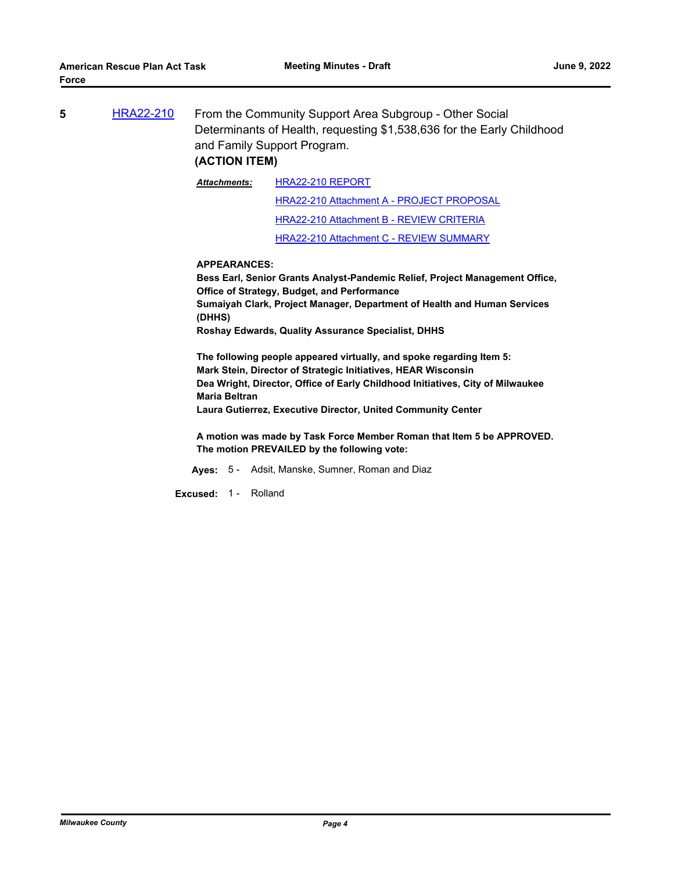| 5. | <b>HRA22-210</b> | From the Community Support Area Subgroup - Other Social                |
|----|------------------|------------------------------------------------------------------------|
|    |                  | Determinants of Health, requesting \$1,538,636 for the Early Childhood |
|    |                  | and Family Support Program.                                            |
|    |                  |                                                                        |

#### **(ACTION ITEM)**

[HRA22-210 REPORT](http://MilwaukeeCounty.legistar.com/gateway.aspx?M=F&ID=82fea573-6e91-49fe-b6d0-9df4d4a7bb2d.pdf) *Attachments:*

> [HRA22-210 Attachment A - PROJECT PROPOSAL](http://MilwaukeeCounty.legistar.com/gateway.aspx?M=F&ID=93c7f32c-d8d6-4e51-bdb9-977732715594.pdf) [HRA22-210 Attachment B - REVIEW CRITERIA](http://MilwaukeeCounty.legistar.com/gateway.aspx?M=F&ID=c17096a5-d75a-4ef5-92f2-b6eb38ac5747.pdf)

[HRA22-210 Attachment C - REVIEW SUMMARY](http://MilwaukeeCounty.legistar.com/gateway.aspx?M=F&ID=ec3b6327-a679-4624-b341-d1d1b5a9630e.pdf)

#### **APPEARANCES:**

**Bess Earl, Senior Grants Analyst-Pandemic Relief, Project Management Office, Office of Strategy, Budget, and Performance Sumaiyah Clark, Project Manager, Department of Health and Human Services (DHHS) Roshay Edwards, Quality Assurance Specialist, DHHS**

**The following people appeared virtually, and spoke regarding Item 5: Mark Stein, Director of Strategic Initiatives, HEAR Wisconsin Dea Wright, Director, Office of Early Childhood Initiatives, City of Milwaukee Maria Beltran Laura Gutierrez, Executive Director, United Community Center**

**A motion was made by Task Force Member Roman that Item 5 be APPROVED. The motion PREVAILED by the following vote:**

- **Ayes:** 5 Adsit, Manske, Sumner, Roman and Diaz
- **Excused:** 1 Rolland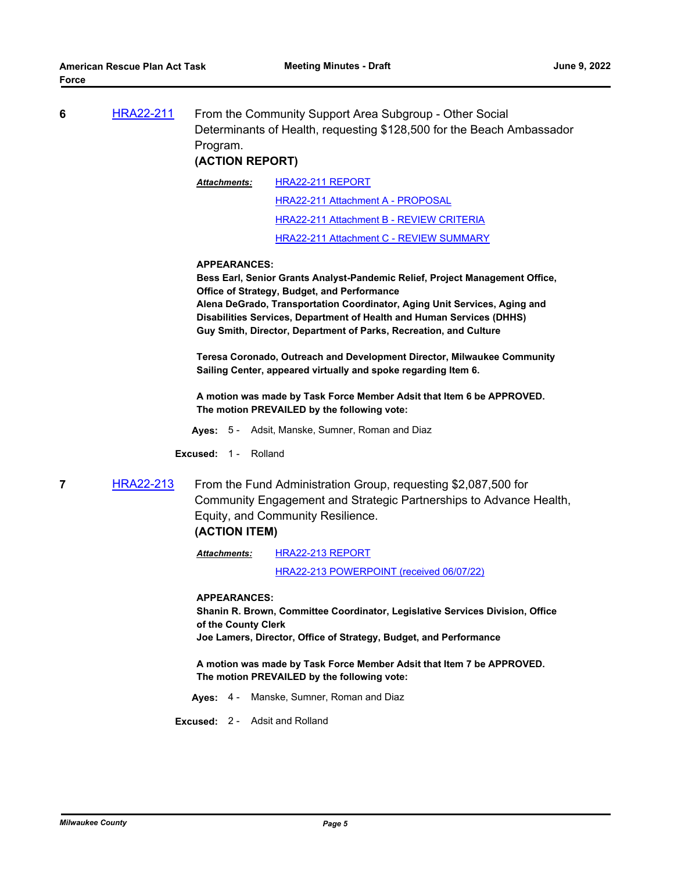| 6 | <b>HRA22-211</b> | From the Community Support Area Subgroup - Other Social               |  |
|---|------------------|-----------------------------------------------------------------------|--|
|   |                  | Determinants of Health, requesting \$128,500 for the Beach Ambassador |  |
|   |                  | Program.                                                              |  |

### **(ACTION REPORT)**

[HRA22-211 REPORT](http://MilwaukeeCounty.legistar.com/gateway.aspx?M=F&ID=75294717-24d0-4ca0-ba0a-f5b1eec4af16.pdf) [HRA22-211 Attachment A - PROPOSAL](http://MilwaukeeCounty.legistar.com/gateway.aspx?M=F&ID=5e61a4ad-cecb-4998-a733-11c0be134324.pdf) [HRA22-211 Attachment B - REVIEW CRITERIA](http://MilwaukeeCounty.legistar.com/gateway.aspx?M=F&ID=54c7c6ea-02d5-4600-a0b3-c059b51db86c.pdf) [HRA22-211 Attachment C - REVIEW SUMMARY](http://MilwaukeeCounty.legistar.com/gateway.aspx?M=F&ID=5583e5ca-965f-4fc8-8ccc-19ddcf5c4cd5.pdf) *Attachments:*

#### **APPEARANCES:**

**Bess Earl, Senior Grants Analyst-Pandemic Relief, Project Management Office, Office of Strategy, Budget, and Performance**

**Alena DeGrado, Transportation Coordinator, Aging Unit Services, Aging and Disabilities Services, Department of Health and Human Services (DHHS) Guy Smith, Director, Department of Parks, Recreation, and Culture**

**Teresa Coronado, Outreach and Development Director, Milwaukee Community Sailing Center, appeared virtually and spoke regarding Item 6.**

**A motion was made by Task Force Member Adsit that Item 6 be APPROVED. The motion PREVAILED by the following vote:**

**Ayes:** 5 - Adsit, Manske, Sumner, Roman and Diaz

**Excused:** 1 - Rolland

**7** [HRA22-213](http://milwaukeecounty.legistar.com/gateway.aspx?m=l&id=/matter.aspx?key=12452) From the Fund Administration Group, requesting \$2,087,500 for Community Engagement and Strategic Partnerships to Advance Health, Equity, and Community Resilience.

## **(ACTION ITEM)**

[HRA22-213 REPORT](http://MilwaukeeCounty.legistar.com/gateway.aspx?M=F&ID=540049b1-eb90-44b7-9509-f555409645bf.pdf) [HRA22-213 POWERPOINT \(received 06/07/22\)](http://MilwaukeeCounty.legistar.com/gateway.aspx?M=F&ID=f403a205-507e-426d-a94f-d4a27746311c.pdf) *Attachments:*

**APPEARANCES:**

**Shanin R. Brown, Committee Coordinator, Legislative Services Division, Office of the County Clerk Joe Lamers, Director, Office of Strategy, Budget, and Performance**

**A motion was made by Task Force Member Adsit that Item 7 be APPROVED. The motion PREVAILED by the following vote:**

**Ayes:** 4 - Manske, Sumner, Roman and Diaz

**Excused:** 2 - Adsit and Rolland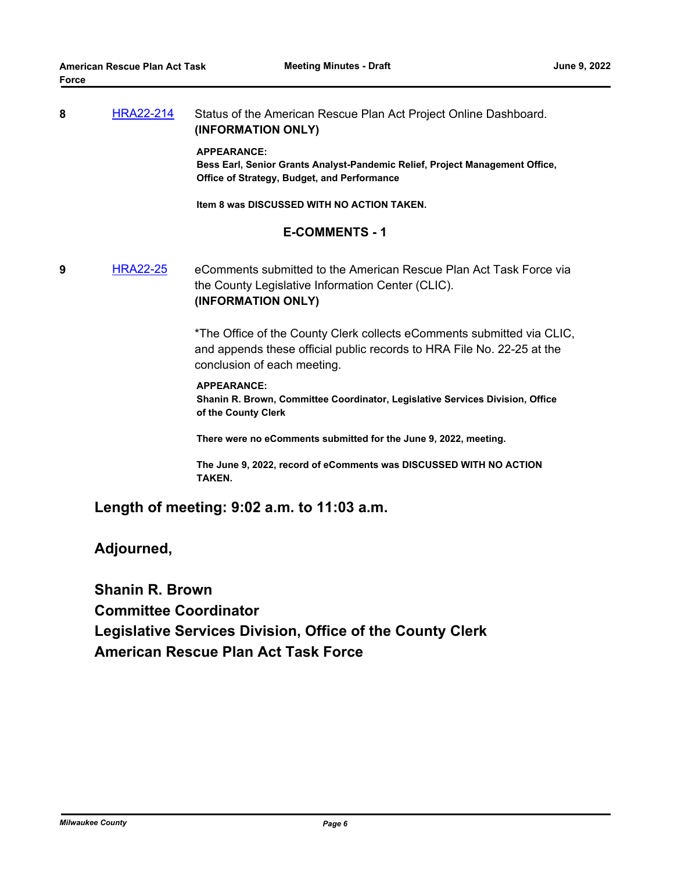### **8** [HRA22-214](http://milwaukeecounty.legistar.com/gateway.aspx?m=l&id=/matter.aspx?key=12453) Status of the American Rescue Plan Act Project Online Dashboard. **(INFORMATION ONLY)**

#### **APPEARANCE:**

**Bess Earl, Senior Grants Analyst-Pandemic Relief, Project Management Office, Office of Strategy, Budget, and Performance**

**Item 8 was DISCUSSED WITH NO ACTION TAKEN.**

### **E-COMMENTS - 1**

**9** [HRA22-25](http://milwaukeecounty.legistar.com/gateway.aspx?m=l&id=/matter.aspx?key=11912) eComments submitted to the American Rescue Plan Act Task Force via the County Legislative Information Center (CLIC). **(INFORMATION ONLY)**

> \*The Office of the County Clerk collects eComments submitted via CLIC, and appends these official public records to HRA File No. 22-25 at the conclusion of each meeting.

#### **APPEARANCE:**

**Shanin R. Brown, Committee Coordinator, Legislative Services Division, Office of the County Clerk**

**There were no eComments submitted for the June 9, 2022, meeting.**

**The June 9, 2022, record of eComments was DISCUSSED WITH NO ACTION TAKEN.**

**Length of meeting: 9:02 a.m. to 11:03 a.m.**

**Adjourned,**

**Shanin R. Brown Committee Coordinator Legislative Services Division, Office of the County Clerk American Rescue Plan Act Task Force**